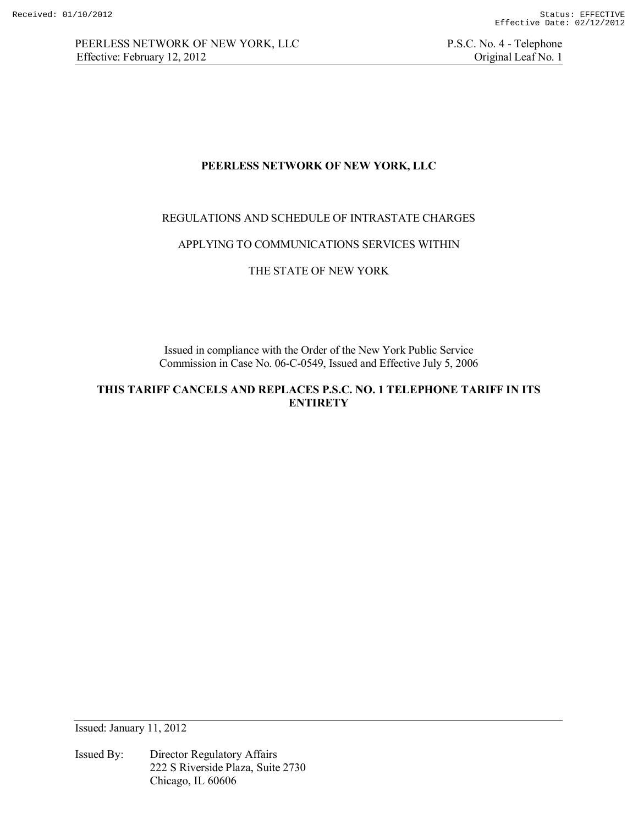PEERLESS NETWORK OF NEW YORK, LLC P.S.C. No. 4 - Telephone Effective: February 12, 2012 Criginal Leaf No. 1

## **PEERLESS NETWORK OF NEW YORK, LLC**

## REGULATIONS AND SCHEDULE OF INTRASTATE CHARGES

### APPLYING TO COMMUNICATIONS SERVICES WITHIN

## THE STATE OF NEW YORK

Issued in compliance with the Order of the New York Public Service Commission in Case No. 06-C-0549, Issued and Effective July 5, 2006

**THIS TARIFF CANCELS AND REPLACES P.S.C. NO. 1 TELEPHONE TARIFF IN ITS ENTIRETY** 

Issued: January 11, 2012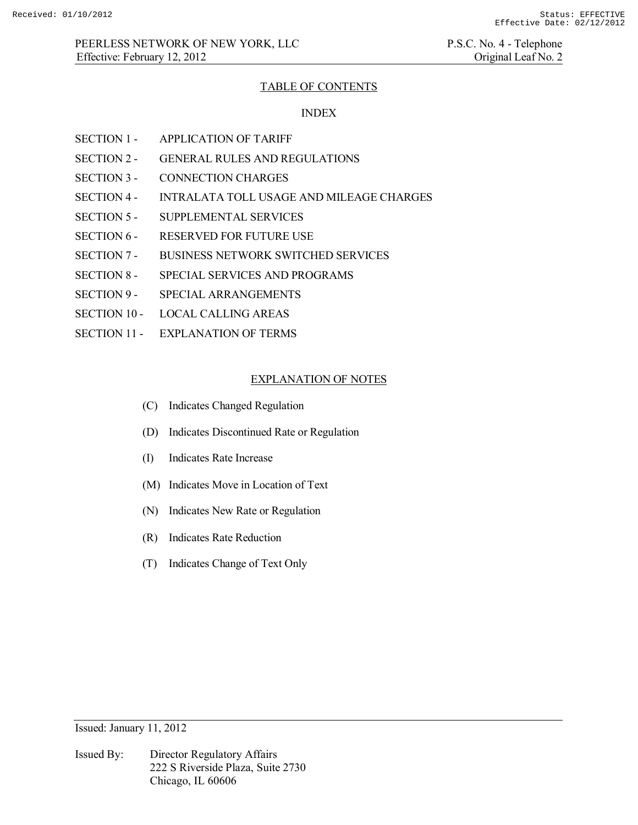### TABLE OF CONTENTS

#### INDEX

- SECTION 1 APPLICATION OF TARIFF
- SECTION 2 GENERAL RULES AND REGULATIONS
- SECTION 3 CONNECTION CHARGES
- SECTION 4 INTRALATA TOLL USAGE AND MILEAGE CHARGES
- SECTION 5 SUPPLEMENTAL SERVICES
- SECTION 6 RESERVED FOR FUTURE USE
- SECTION 7 BUSINESS NETWORK SWITCHED SERVICES
- SECTION 8 SPECIAL SERVICES AND PROGRAMS
- SECTION 9 SPECIAL ARRANGEMENTS
- SECTION 10 LOCAL CALLING AREAS
- SECTION 11 EXPLANATION OF TERMS

#### EXPLANATION OF NOTES

- (C) Indicates Changed Regulation
- (D) Indicates Discontinued Rate or Regulation
- (I) Indicates Rate Increase
- (M) Indicates Move in Location of Text
- (N) Indicates New Rate or Regulation
- (R) Indicates Rate Reduction
- (T) Indicates Change of Text Only

Issued: January 11, 2012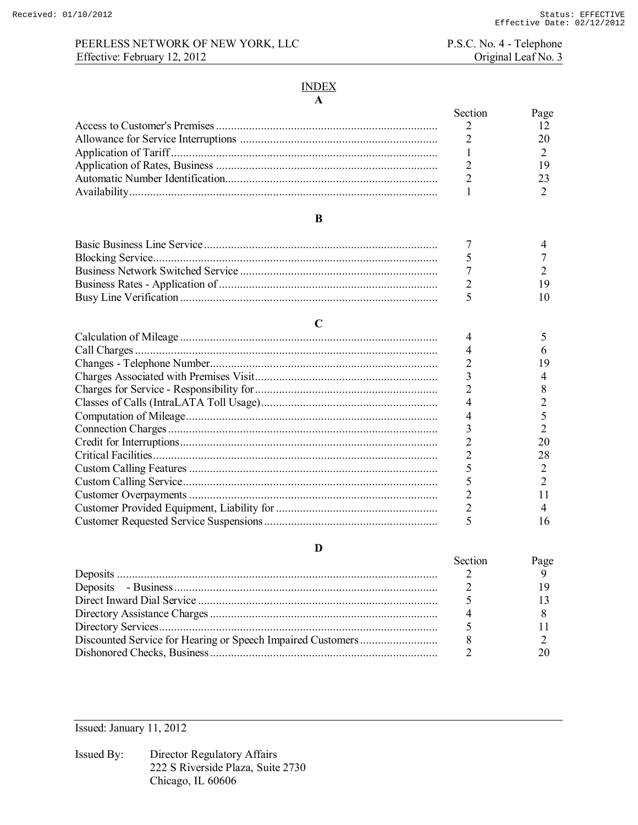## INDEX **A**

| Section | Page |
|---------|------|
|         |      |
|         |      |
|         |      |
|         |      |
|         |      |
|         |      |
|         |      |

### **B**

|  | l () |
|--|------|
|  |      |
|  |      |
|  |      |
|  |      |
|  |      |
|  | 20   |
|  | 28   |
|  |      |
|  |      |
|  |      |
|  |      |
|  | 16   |

## **D**

| Section | Page |
|---------|------|
|         |      |
|         |      |
|         |      |
|         |      |
|         |      |
|         |      |
|         |      |

Issued: January 11, 2012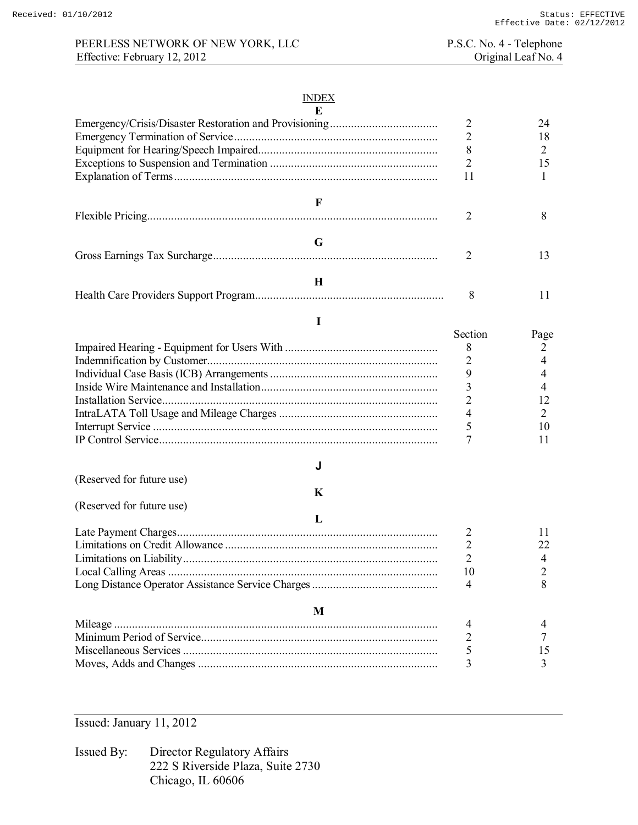# PEERLESS NETWORK OF NEW YORK, LLC P.S.C. No. 4 - Telephone<br>
P.S.C. No. 4 - Telephone<br>
Original Leaf No. 4 Effective: February 12, 2012

## INDEX

| E                         |                |                |
|---------------------------|----------------|----------------|
|                           | $\overline{2}$ | 24             |
|                           | $\overline{2}$ | 18             |
|                           | 8              | 2              |
|                           | $\overline{2}$ | 15             |
|                           | 11             | 1              |
| F                         |                |                |
|                           | $\overline{2}$ | 8              |
| G                         |                |                |
|                           | $\overline{2}$ | 13             |
| H                         |                |                |
|                           | 8              | 11             |
| I                         |                |                |
|                           | Section        | Page           |
|                           | 8              | 2              |
|                           | $\overline{2}$ | $\overline{4}$ |
|                           | 9              | 4              |
|                           | 3              | 4              |
|                           | $\overline{2}$ | 12             |
|                           | $\overline{4}$ | 2              |
|                           | 5              | 10             |
|                           | 7              | 11             |
| J                         |                |                |
| (Reserved for future use) |                |                |
| K                         |                |                |
| (Reserved for future use) |                |                |
| $\bf{L}$                  |                |                |
|                           | 2              | 11             |
|                           | $\mathbf{2}$   | 22             |
|                           | 2              | 4              |
|                           | 10             | $\overline{c}$ |
|                           | 4              | 8              |
| M                         |                |                |
|                           | 4              | 4              |
|                           |                | 7              |
|                           | 5              | 15             |
|                           | 3              | 3              |

Issued: January 11, 2012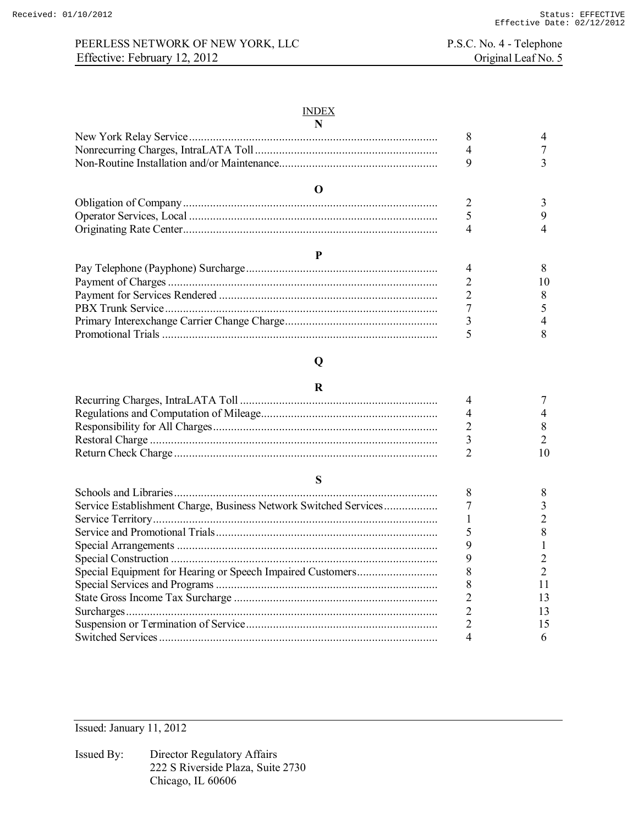# PEERLESS NETWORK OF NEW YORK, LLC P.S.C. No. 4 - Telephone<br>Effective: February 12, 2012 Original Leaf No. 5 Effective: February 12, 2012

### INDEX

|   | 8              |    |
|---|----------------|----|
|   | 4              |    |
|   | 9              |    |
| 0 |                |    |
|   |                |    |
|   | 5              |    |
|   |                |    |
| P |                |    |
|   |                |    |
|   |                | 10 |
|   | $\overline{2}$ |    |
|   |                |    |
|   | 3              |    |
|   |                |    |
|   |                |    |

| Service Establishment Charge, Business Network Switched Services |  |
|------------------------------------------------------------------|--|
|                                                                  |  |
|                                                                  |  |
|                                                                  |  |
|                                                                  |  |
|                                                                  |  |
|                                                                  |  |
|                                                                  |  |
|                                                                  |  |
|                                                                  |  |
|                                                                  |  |

Issued: January 11, 2012